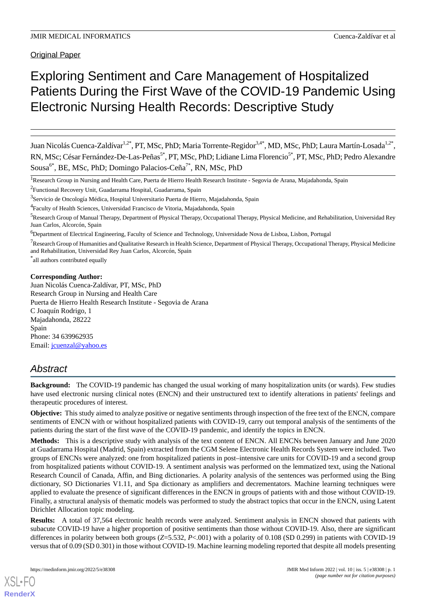# Exploring Sentiment and Care Management of Hospitalized Patients During the First Wave of the COVID-19 Pandemic Using Electronic Nursing Health Records: Descriptive Study

Juan Nicolás Cuenca-Zaldívar<sup>1,2\*</sup>, PT, MSc, PhD; Maria Torrente-Regidor<sup>3,4\*</sup>, MD, MSc, PhD; Laura Martín-Losada<sup>1,2\*</sup>, RN, MSc; César Fernández-De-Las-Peñas<sup>5\*</sup>, PT, MSc, PhD; Lidiane Lima Florencio<sup>5\*</sup>, PT, MSc, PhD; Pedro Alexandre Sousa<sup>6\*</sup>, BE, MSc, PhD; Domingo Palacios-Ceña<sup>7\*</sup>, RN, MSc, PhD

\* all authors contributed equally

#### **Corresponding Author:**

Juan Nicolás Cuenca-Zaldívar, PT, MSc, PhD Research Group in Nursing and Health Care Puerta de Hierro Health Research Institute - Segovia de Arana C Joaquín Rodrigo, 1 Majadahonda, 28222 Spain Phone: 34 639962935 Email: [jcuenzal@yahoo.es](mailto:jcuenzal@yahoo.es)

## *Abstract*

**Background:** The COVID-19 pandemic has changed the usual working of many hospitalization units (or wards). Few studies have used electronic nursing clinical notes (ENCN) and their unstructured text to identify alterations in patients' feelings and therapeutic procedures of interest.

**Objective:** This study aimed to analyze positive or negative sentiments through inspection of the free text of the ENCN, compare sentiments of ENCN with or without hospitalized patients with COVID-19, carry out temporal analysis of the sentiments of the patients during the start of the first wave of the COVID-19 pandemic, and identify the topics in ENCN.

**Methods:** This is a descriptive study with analysis of the text content of ENCN. All ENCNs between January and June 2020 at Guadarrama Hospital (Madrid, Spain) extracted from the CGM Selene Electronic Health Records System were included. Two groups of ENCNs were analyzed: one from hospitalized patients in post–intensive care units for COVID-19 and a second group from hospitalized patients without COVID-19. A sentiment analysis was performed on the lemmatized text, using the National Research Council of Canada, Affin, and Bing dictionaries. A polarity analysis of the sentences was performed using the Bing dictionary, SO Dictionaries V1.11, and Spa dictionary as amplifiers and decrementators. Machine learning techniques were applied to evaluate the presence of significant differences in the ENCN in groups of patients with and those without COVID-19. Finally, a structural analysis of thematic models was performed to study the abstract topics that occur in the ENCN, using Latent Dirichlet Allocation topic modeling.

**Results:** A total of 37,564 electronic health records were analyzed. Sentiment analysis in ENCN showed that patients with subacute COVID-19 have a higher proportion of positive sentiments than those without COVID-19. Also, there are significant differences in polarity between both groups (*Z*=5.532, *P*<.001) with a polarity of 0.108 (SD 0.299) in patients with COVID-19 versus that of 0.09 (SD 0.301) in those without COVID-19. Machine learning modeling reported that despite all models presenting

<sup>&</sup>lt;sup>1</sup>Research Group in Nursing and Health Care, Puerta de Hierro Health Research Institute - Segovia de Arana, Majadahonda, Spain

<sup>&</sup>lt;sup>2</sup>Functional Recovery Unit, Guadarrama Hospital, Guadarrama, Spain

<sup>&</sup>lt;sup>3</sup>Servicio de Oncología Médica, Hospital Universitario Puerta de Hierro, Majadahonda, Spain

<sup>&</sup>lt;sup>4</sup>Faculty of Health Sciences, Universidad Francisco de Vitoria, Majadahonda, Spain

<sup>&</sup>lt;sup>5</sup>Research Group of Manual Therapy, Department of Physical Therapy, Occupational Therapy, Physical Medicine, and Rehabilitation, Universidad Rey Juan Carlos, Alcorcón, Spain

<sup>6</sup>Department of Electrical Engineering, Faculty of Science and Technology, Universidade Nova de Lisboa, Lisbon, Portugal

 $7$ Research Group of Humanities and Qualitative Research in Health Science, Department of Physical Therapy, Occupational Therapy, Physical Medicine and Rehabilitation, Universidad Rey Juan Carlos, Alcorcón, Spain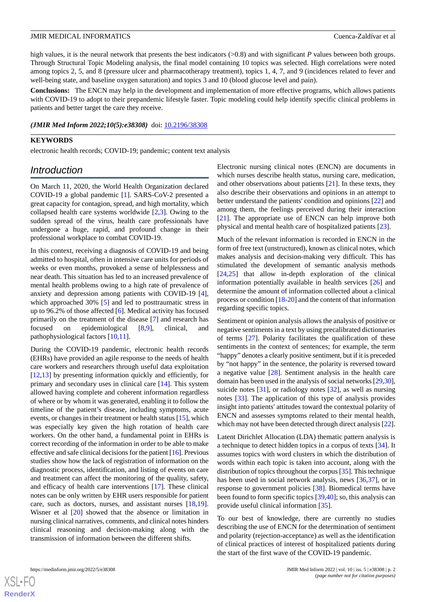high values, it is the neural network that presents the best indicators (>0.8) and with significant *P* values between both groups. Through Structural Topic Modeling analysis, the final model containing 10 topics was selected. High correlations were noted among topics 2, 5, and 8 (pressure ulcer and pharmacotherapy treatment), topics 1, 4, 7, and 9 (incidences related to fever and well-being state, and baseline oxygen saturation) and topics 3 and 10 (blood glucose level and pain).

**Conclusions:** The ENCN may help in the development and implementation of more effective programs, which allows patients with COVID-19 to adopt to their prepandemic lifestyle faster. Topic modeling could help identify specific clinical problems in patients and better target the care they receive.

(JMIR Med Inform 2022;10(5):e38308) doi: [10.2196/38308](http://dx.doi.org/10.2196/38308)

#### **KEYWORDS**

electronic health records; COVID-19; pandemic; content text analysis

### *Introduction*

On March 11, 2020, the World Health Organization declared COVID-19 a global pandemic [[1\]](#page-9-0). SARS-CoV-2 presented a great capacity for contagion, spread, and high mortality, which collapsed health care systems worldwide [[2](#page-9-1)[,3](#page-9-2)]. Owing to the sudden spread of the virus, health care professionals have undergone a huge, rapid, and profound change in their professional workplace to combat COVID-19.

In this context, receiving a diagnosis of COVID-19 and being admitted to hospital, often in intensive care units for periods of weeks or even months, provoked a sense of helplessness and near death. This situation has led to an increased prevalence of mental health problems owing to a high rate of prevalence of anxiety and depression among patients with COVID-19 [[4\]](#page-9-3), which approached 30% [[5\]](#page-9-4) and led to posttraumatic stress in up to 96.2% of those affected [[6\]](#page-9-5). Medical activity has focused primarily on the treatment of the disease [\[7](#page-9-6)] and research has focused on epidemiological [[8,](#page-10-0)[9](#page-10-1)], clinical, and pathophysiological factors [\[10](#page-10-2)[,11](#page-10-3)].

During the COVID-19 pandemic, electronic health records (EHRs) have provided an agile response to the needs of health care workers and researchers through useful data exploitation [[12](#page-10-4)[,13](#page-10-5)] by presenting information quickly and efficiently, for primary and secondary uses in clinical care [\[14](#page-10-6)]. This system allowed having complete and coherent information regardless of where or by whom it was generated, enabling it to follow the timeline of the patient's disease, including symptoms, acute events, or changes in their treatment or health status [[15\]](#page-10-7), which was especially key given the high rotation of health care workers. On the other hand, a fundamental point in EHRs is correct recording of the information in order to be able to make effective and safe clinical decisions for the patient [\[16\]](#page-10-8). Previous studies show how the lack of registration of information on the diagnostic process, identification, and listing of events on care and treatment can affect the monitoring of the quality, safety, and efficacy of health care interventions [\[17](#page-10-9)]. These clinical notes can be only written by EHR users responsible for patient care, such as doctors, nurses, and assistant nurses [\[18](#page-10-10),[19\]](#page-10-11). Wisner et al [\[20](#page-10-12)] showed that the absence or limitation in nursing clinical narratives, comments, and clinical notes hinders clinical reasoning and decision-making along with the transmission of information between the different shifts.

Electronic nursing clinical notes (ENCN) are documents in which nurses describe health status, nursing care, medication, and other observations about patients [\[21](#page-10-13)]. In these texts, they also describe their observations and opinions in an attempt to better understand the patients' condition and opinions [\[22](#page-10-14)] and among them, the feelings perceived during their interaction [[21\]](#page-10-13). The appropriate use of ENCN can help improve both physical and mental health care of hospitalized patients [[23\]](#page-10-15).

Much of the relevant information is recorded in ENCN in the form of free text (unstructured), known as clinical notes, which makes analysis and decision-making very difficult. This has stimulated the development of semantic analysis methods [[24,](#page-10-16)[25\]](#page-10-17) that allow in-depth exploration of the clinical information potentially available in health services [[26\]](#page-10-18) and determine the amount of information collected about a clinical process or condition [\[18](#page-10-10)-[20\]](#page-10-12) and the content of that information regarding specific topics.

Sentiment or opinion analysis allows the analysis of positive or negative sentiments in a text by using precalibrated dictionaries of terms [[27\]](#page-10-19). Polarity facilitates the qualification of these sentiments in the context of sentences; for example, the term "happy" denotes a clearly positive sentiment, but if it is preceded by "not happy" in the sentence, the polarity is reversed toward a negative value [\[28](#page-10-20)]. Sentiment analysis in the health care domain has been used in the analysis of social networks [[29,](#page-10-21)[30](#page-11-0)], suicide notes [\[31](#page-11-1)], or radiology notes [\[32](#page-11-2)], as well as nursing notes [[33\]](#page-11-3). The application of this type of analysis provides insight into patients' attitudes toward the contextual polarity of ENCN and assesses symptoms related to their mental health, which may not have been detected through direct analysis [[22\]](#page-10-14).

Latent Dirichlet Allocation (LDA) thematic pattern analysis is a technique to detect hidden topics in a corpus of texts [\[34](#page-11-4)]. It assumes topics with word clusters in which the distribution of words within each topic is taken into account, along with the distribution of topics throughout the corpus [\[35](#page-11-5)]. This technique has been used in social network analysis, news [[36](#page-11-6)[,37](#page-11-7)], or in response to government policies [[38\]](#page-11-8). Biomedical terms have been found to form specific topics [[39](#page-11-9)[,40](#page-11-10)]; so, this analysis can provide useful clinical information [\[35](#page-11-5)].

To our best of knowledge, there are currently no studies describing the use of ENCN for the determination of sentiment and polarity (rejection-acceptance) as well as the identification of clinical practices of interest of hospitalized patients during the start of the first wave of the COVID-19 pandemic.

 $XS$  • FO **[RenderX](http://www.renderx.com/)**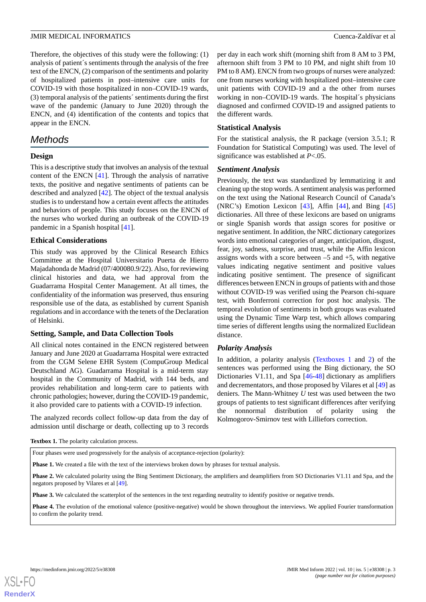Therefore, the objectives of this study were the following: (1) analysis of patient´s sentiments through the analysis of the free text of the ENCN, (2) comparison of the sentiments and polarity of hospitalized patients in post–intensive care units for COVID-19 with those hospitalized in non–COVID-19 wards, (3) temporal analysis of the patients´ sentiments during the first wave of the pandemic (January to June 2020) through the ENCN, and (4) identification of the contents and topics that appear in the ENCN.

### *Methods*

#### **Design**

This is a descriptive study that involves an analysis of the textual content of the ENCN [[41\]](#page-11-11). Through the analysis of narrative texts, the positive and negative sentiments of patients can be described and analyzed [\[42](#page-11-12)]. The object of the textual analysis studies is to understand how a certain event affects the attitudes and behaviors of people. This study focuses on the ENCN of the nurses who worked during an outbreak of the COVID-19 pandemic in a Spanish hospital [[41\]](#page-11-11).

#### **Ethical Considerations**

This study was approved by the Clinical Research Ethics Committee at the Hospital Universitario Puerta de Hierro Majadahonda de Madrid (07/400080.9/22). Also, for reviewing clinical histories and data, we had approval from the Guadarrama Hospital Center Management. At all times, the confidentiality of the information was preserved, thus ensuring responsible use of the data, as established by current Spanish regulations and in accordance with the tenets of the Declaration of Helsinki.

#### **Setting, Sample, and Data Collection Tools**

All clinical notes contained in the ENCN registered between January and June 2020 at Guadarrama Hospital were extracted from the CGM Selene EHR System (CompuGroup Medical Deutschland AG). Guadarrama Hospital is a mid-term stay hospital in the Community of Madrid, with 144 beds, and provides rehabilitation and long-term care to patients with chronic pathologies; however, during the COVID-19 pandemic, it also provided care to patients with a COVID-19 infection.

<span id="page-2-0"></span>The analyzed records collect follow-up data from the day of admission until discharge or death, collecting up to 3 records

per day in each work shift (morning shift from 8 AM to 3 PM, afternoon shift from 3 PM to 10 PM, and night shift from 10 PM to 8 AM). ENCN from two groups of nurses were analyzed: one from nurses working with hospitalized post–intensive care unit patients with COVID-19 and a the other from nurses working in non–COVID-19 wards. The hospital´s physicians diagnosed and confirmed COVID-19 and assigned patients to the different wards.

#### **Statistical Analysis**

For the statistical analysis, the R package (version 3.5.1; R Foundation for Statistical Computing) was used. The level of significance was established at *P*<.05.

#### *Sentiment Analysis*

Previously, the text was standardized by lemmatizing it and cleaning up the stop words. A sentiment analysis was performed on the text using the National Research Council of Canada's (NRC's) Emotion Lexicon [\[43](#page-11-13)], Affin [[44\]](#page-11-14), and Bing [\[45](#page-11-15)] dictionaries. All three of these lexicons are based on unigrams or single Spanish words that assign scores for positive or negative sentiment. In addition, the NRC dictionary categorizes words into emotional categories of anger, anticipation, disgust, fear, joy, sadness, surprise, and trust, while the Affin lexicon assigns words with a score between  $-5$  and  $+5$ , with negative values indicating negative sentiment and positive values indicating positive sentiment. The presence of significant differences between ENCN in groups of patients with and those without COVID-19 was verified using the Pearson chi-square test, with Bonferroni correction for post hoc analysis. The temporal evolution of sentiments in both groups was evaluated using the Dynamic Time Warp test, which allows comparing time series of different lengths using the normalized Euclidean distance.

#### *Polarity Analysis*

In addition, a polarity analysis [\(Textboxes 1](#page-2-0) and [2\)](#page-3-0) of the sentences was performed using the Bing dictionary, the SO Dictionaries V1.11, and Spa [\[46](#page-11-16)[-48](#page-11-17)] dictionary as amplifiers and decrementators, and those proposed by Vilares et al [[49\]](#page-11-18) as deniers. The Mann-Whitney *U* test was used between the two groups of patients to test significant differences after verifying the nonnormal distribution of polarity using the Kolmogorov-Smirnov test with Lilliefors correction.

**Textbox 1.** The polarity calculation process.

Four phases were used progressively for the analysis of acceptance-rejection (polarity):

**Phase 1.** We created a file with the text of the interviews broken down by phrases for textual analysis.

**Phase 2.** We calculated polarity using the Bing Sentiment Dictionary, the amplifiers and deamplifiers from SO Dictionaries V1.11 and Spa, and the negators proposed by Vilares et al [[49](#page-11-18)].

**Phase 3.** We calculated the scatterplot of the sentences in the text regarding neutrality to identify positive or negative trends.

**Phase 4.** The evolution of the emotional valence (positive-negative) would be shown throughout the interviews. We applied Fourier transformation to confirm the polarity trend.

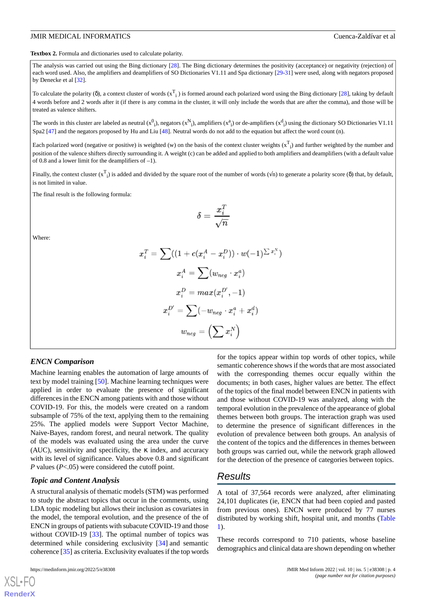<span id="page-3-0"></span>**Textbox 2.** Formula and dictionaries used to calculate polarity.

The analysis was carried out using the Bing dictionary [[28](#page-10-20)]. The Bing dictionary determines the positivity (acceptance) or negativity (rejection) of each word used. Also, the amplifiers and deamplifiers of SO Dictionaries V1.11 and Spa dictionary [[29](#page-10-21)[-31\]](#page-11-1) were used, along with negators proposed by Denecke et al [\[32\]](#page-11-2).

To calculate the polarity (δ), a context cluster of words  $(x_1)$  is formed around each polarized word using the Bing dictionary [[28](#page-10-20)], taking by default 4 words before and 2 words after it (if there is any comma in the cluster, it will only include the words that are after the comma), and those will be treated as valence shifters.

The words in this cluster are labeled as neutral  $(x^0_i)$ , negators  $(x^N_i)$ , amplifiers  $(x^a_i)$  or de-amplifiers  $(x^d_i)$  using the dictionary SO Dictionaries V1.11 Spa2 [[47\]](#page-11-19) and the negators proposed by Hu and Liu [\[48\]](#page-11-17). Neutral words do not add to the equation but affect the word count (n).

Each polarized word (negative or positive) is weighted (w) on the basis of the context cluster weights  $(x^T_i)$  and further weighted by the number and position of the valence shifters directly surrounding it. A weight (c) can be added and applied to both amplifiers and deamplifiers (with a default value of 0.8 and a lower limit for the deamplifiers of  $-1$ ).

Finally, the context cluster  $(x^T_i)$  is added and divided by the square root of the number of words  $(\sqrt{n})$  to generate a polarity score ( $\delta$ ) that, by default, is not limited in value.

The final result is the following formula:

$$
\delta = \frac{x_i^T}{\sqrt{n}}
$$

Where:

$$
x_i^T = \sum \bigl((1 + c(x_i^A - x_i^D)) \cdot w(-1)^{\sum x_i^N} \bigr)
$$
  

$$
x_i^A = \sum (w_{neg} \cdot x_i^a)
$$
  

$$
x_i^D = max(x_i^{D'}, -1)
$$
  

$$
x_i^{D'} = \sum (-w_{neg} \cdot x_i^a + x_i^d)
$$
  

$$
w_{neg} = \Bigl(\sum x_i^N\Bigr)
$$

#### *ENCN Comparison*

Machine learning enables the automation of large amounts of text by model training [\[50](#page-11-20)]. Machine learning techniques were applied in order to evaluate the presence of significant differences in the ENCN among patients with and those without COVID-19. For this, the models were created on a random subsample of 75% of the text, applying them to the remaining 25%. The applied models were Support Vector Machine, Naive-Bayes, random forest, and neural network. The quality of the models was evaluated using the area under the curve (AUC), sensitivity and specificity, the  $\kappa$  index, and accuracy with its level of significance. Values above 0.8 and significant *P* values (*P*<.05) were considered the cutoff point.

#### *Topic and Content Analysis*

A structural analysis of thematic models (STM) was performed to study the abstract topics that occur in the comments, using LDA topic modeling but allows their inclusion as covariates in the model, the temporal evolution, and the presence of the of ENCN in groups of patients with subacute COVID-19 and those without COVID-19 [\[33](#page-11-3)]. The optimal number of topics was determined while considering exclusivity [\[34](#page-11-4)] and semantic coherence [[35\]](#page-11-5) as criteria. Exclusivity evaluates if the top words

for the topics appear within top words of other topics, while semantic coherence shows if the words that are most associated with the corresponding themes occur equally within the documents; in both cases, higher values are better. The effect of the topics of the final model between ENCN in patients with and those without COVID-19 was analyzed, along with the temporal evolution in the prevalence of the appearance of global themes between both groups. The interaction graph was used to determine the presence of significant differences in the evolution of prevalence between both groups. An analysis of the content of the topics and the differences in themes between both groups was carried out, while the network graph allowed for the detection of the presence of categories between topics.

### *Results*

A total of 37,564 records were analyzed, after eliminating 24,101 duplicates (ie, ENCN that had been copied and pasted from previous ones). ENCN were produced by 77 nurses distributed by working shift, hospital unit, and months ([Table](#page-4-0) [1\)](#page-4-0).

These records correspond to 710 patients, whose baseline demographics and clinical data are shown depending on whether

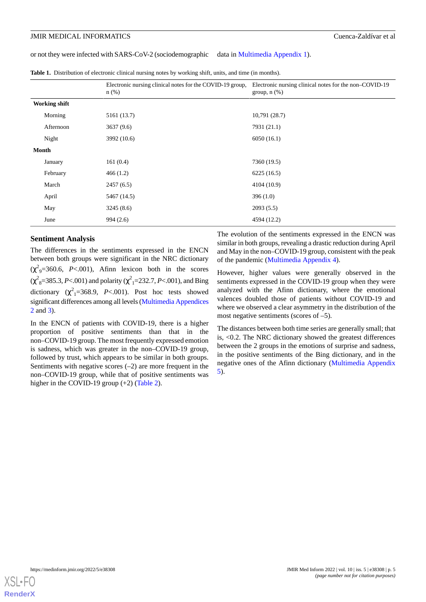or not they were infected with SARS-CoV-2 (sociodemographic data in [Multimedia Appendix 1](#page-9-7)).

<span id="page-4-0"></span>**Table 1.** Distribution of electronic clinical nursing notes by working shift, units, and time (in months).

|                      | Electronic nursing clinical notes for the COVID-19 group,<br>$n$ (%) | Electronic nursing clinical notes for the non-COVID-19<br>group, $n$ $(\%)$ |  |
|----------------------|----------------------------------------------------------------------|-----------------------------------------------------------------------------|--|
| <b>Working shift</b> |                                                                      |                                                                             |  |
| Morning              | 5161 (13.7)                                                          | 10,791(28.7)                                                                |  |
| Afternoon            | 3637(9.6)                                                            | 7931 (21.1)                                                                 |  |
| Night                | 3992 (10.6)                                                          | 6050(16.1)                                                                  |  |
| Month                |                                                                      |                                                                             |  |
| January              | 161(0.4)                                                             | 7360 (19.5)                                                                 |  |
| February             | 466(1.2)                                                             | 6225(16.5)                                                                  |  |
| March                | 2457(6.5)                                                            | 4104 (10.9)                                                                 |  |
| April                | 5467 (14.5)                                                          | 396(1.0)                                                                    |  |
| May                  | 3245 (8.6)                                                           | 2093(5.5)                                                                   |  |
| June                 | 994(2.6)                                                             | 4594 (12.2)                                                                 |  |

#### **Sentiment Analysis**

The differences in the sentiments expressed in the ENCN between both groups were significant in the NRC dictionary  $(\chi^2$ <sub>9</sub>=360.6, *P*<.001), Afinn lexicon both in the scores (χ<sup>2</sup><sub>8</sub>=385.3, *P*<.001) and polarity (χ<sup>2</sup><sub>1</sub>=232.7, *P*<.001), and Bing dictionary  $(\chi^2_{1} = 368.9, P < .001)$ . Post hoc tests showed significant differences among all levels [\(Multimedia Appendices](#page-9-8) [2](#page-9-8) and [3\)](#page-9-9).

In the ENCN of patients with COVID-19, there is a higher proportion of positive sentiments than that in the non–COVID-19 group. The most frequently expressed emotion is sadness, which was greater in the non–COVID-19 group, followed by trust, which appears to be similar in both groups. Sentiments with negative scores  $(-2)$  are more frequent in the non–COVID-19 group, while that of positive sentiments was higher in the COVID-19 group (+2) ([Table 2\)](#page-5-0).

The evolution of the sentiments expressed in the ENCN was similar in both groups, revealing a drastic reduction during April and May in the non–COVID-19 group, consistent with the peak of the pandemic ([Multimedia Appendix 4](#page-9-10)).

However, higher values were generally observed in the sentiments expressed in the COVID-19 group when they were analyzed with the Afinn dictionary, where the emotional valences doubled those of patients without COVID-19 and where we observed a clear asymmetry in the distribution of the most negative sentiments (scores of –5).

The distances between both time series are generally small; that is, <0.2. The NRC dictionary showed the greatest differences between the 2 groups in the emotions of surprise and sadness, in the positive sentiments of the Bing dictionary, and in the negative ones of the Afinn dictionary [\(Multimedia Appendix](#page-9-11) [5\)](#page-9-11).

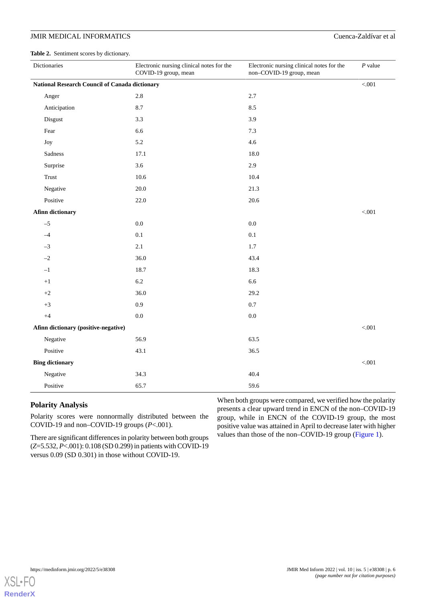<span id="page-5-0"></span>**Table 2.** Sentiment scores by dictionary.

| Dictionaries                                   | Electronic nursing clinical notes for the<br>COVID-19 group, mean | Electronic nursing clinical notes for the<br>non-COVID-19 group, mean | $P$ value |  |
|------------------------------------------------|-------------------------------------------------------------------|-----------------------------------------------------------------------|-----------|--|
| National Research Council of Canada dictionary |                                                                   |                                                                       |           |  |
| Anger                                          | $2.8\,$                                                           | 2.7                                                                   |           |  |
| Anticipation                                   | 8.7                                                               | 8.5                                                                   |           |  |
| Disgust                                        | 3.3                                                               | 3.9                                                                   |           |  |
| Fear                                           | 6.6                                                               | 7.3                                                                   |           |  |
| Joy                                            | 5.2                                                               | 4.6                                                                   |           |  |
| Sadness                                        | 17.1                                                              | 18.0                                                                  |           |  |
| Surprise                                       | 3.6                                                               | 2.9                                                                   |           |  |
| Trust                                          | 10.6                                                              | 10.4                                                                  |           |  |
| Negative                                       | $20.0\,$                                                          | 21.3                                                                  |           |  |
| Positive                                       | 22.0                                                              | 20.6                                                                  |           |  |
| <b>Afinn dictionary</b>                        |                                                                   |                                                                       | < 0.001   |  |
| $-5$                                           | $0.0\,$                                                           | $0.0\,$                                                               |           |  |
| $-4$                                           | $0.1\,$                                                           | $0.1\,$                                                               |           |  |
| $-3$                                           | 2.1                                                               | $1.7\,$                                                               |           |  |
| $-2$                                           | 36.0                                                              | 43.4                                                                  |           |  |
| $-1$                                           | 18.7                                                              | 18.3                                                                  |           |  |
| $+1$                                           | $6.2\,$                                                           | 6.6                                                                   |           |  |
| $^{\rm +2}$                                    | 36.0                                                              | 29.2                                                                  |           |  |
| $+3$                                           | 0.9                                                               | 0.7                                                                   |           |  |
| $+4$                                           | $0.0\,$                                                           | $0.0\,$                                                               |           |  |
| Afinn dictionary (positive-negative)           |                                                                   |                                                                       | $< 001$   |  |
| Negative                                       | 56.9                                                              | 63.5                                                                  |           |  |
| Positive                                       | 43.1                                                              | 36.5                                                                  |           |  |
| <b>Bing dictionary</b>                         |                                                                   |                                                                       | $< 001$   |  |
| Negative                                       | 34.3                                                              | 40.4                                                                  |           |  |
| Positive                                       | 65.7                                                              | 59.6                                                                  |           |  |

#### **Polarity Analysis**

Polarity scores were nonnormally distributed between the COVID-19 and non–COVID-19 groups (*P*<.001).

There are significant differences in polarity between both groups (*Z*=5.532, *P*<.001): 0.108 (SD 0.299) in patients with COVID-19 versus 0.09 (SD 0.301) in those without COVID-19.

When both groups were compared, we verified how the polarity presents a clear upward trend in ENCN of the non–COVID-19 group, while in ENCN of the COVID-19 group, the most positive value was attained in April to decrease later with higher values than those of the non–COVID-19 group [\(Figure 1](#page-6-0)).

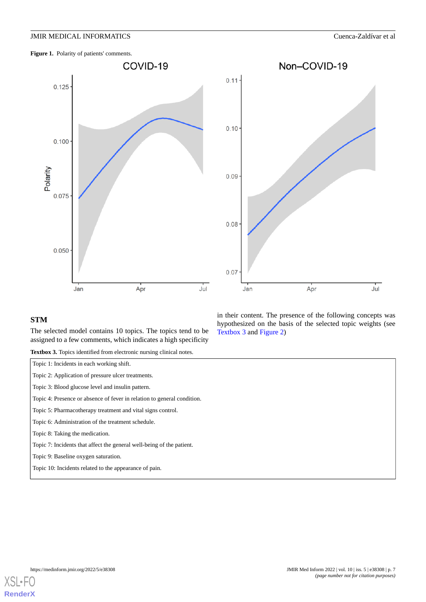<span id="page-6-0"></span>Figure 1. Polarity of patients' comments.





#### <span id="page-6-1"></span>**STM**

The selected model contains 10 topics. The topics tend to be assigned to a few comments, which indicates a high specificity

**Textbox 3.** Topics identified from electronic nursing clinical notes.

Topic 1: Incidents in each working shift.

Topic 2: Application of pressure ulcer treatments.

Topic 3: Blood glucose level and insulin pattern.

Topic 4: Presence or absence of fever in relation to general condition.

Topic 5: Pharmacotherapy treatment and vital signs control.

Topic 6: Administration of the treatment schedule.

Topic 8: Taking the medication.

Topic 7: Incidents that affect the general well-being of the patient.

Topic 9: Baseline oxygen saturation.

Topic 10: Incidents related to the appearance of pain.

in their content. The presence of the following concepts was hypothesized on the basis of the selected topic weights (see [Textbox 3](#page-6-1) and [Figure 2\)](#page-7-0)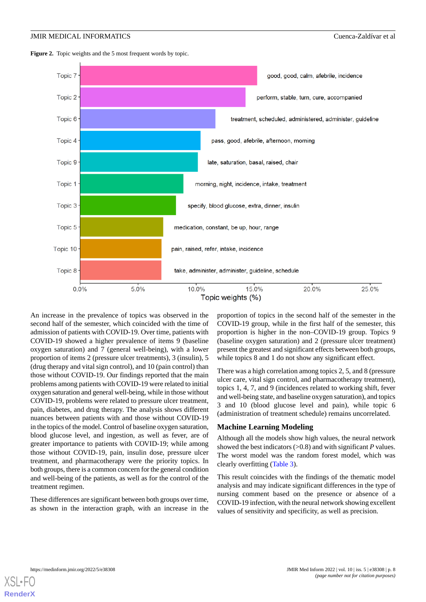<span id="page-7-0"></span>



An increase in the prevalence of topics was observed in the second half of the semester, which coincided with the time of admission of patients with COVID-19. Over time, patients with COVID-19 showed a higher prevalence of items 9 (baseline oxygen saturation) and 7 (general well-being), with a lower proportion of items 2 (pressure ulcer treatments), 3 (insulin), 5 (drug therapy and vital sign control), and 10 (pain control) than those without COVID-19. Our findings reported that the main problems among patients with COVID-19 were related to initial oxygen saturation and general well-being, while in those without COVID-19, problems were related to pressure ulcer treatment, pain, diabetes, and drug therapy. The analysis shows different nuances between patients with and those without COVID-19 in the topics of the model. Control of baseline oxygen saturation, blood glucose level, and ingestion, as well as fever, are of greater importance to patients with COVID-19; while among those without COVID-19, pain, insulin dose, pressure ulcer treatment, and pharmacotherapy were the priority topics. In both groups, there is a common concern for the general condition and well-being of the patients, as well as for the control of the treatment regimen.

These differences are significant between both groups over time, as shown in the interaction graph, with an increase in the

proportion of topics in the second half of the semester in the COVID-19 group, while in the first half of the semester, this proportion is higher in the non–COVID-19 group. Topics 9 (baseline oxygen saturation) and 2 (pressure ulcer treatment) present the greatest and significant effects between both groups, while topics 8 and 1 do not show any significant effect.

There was a high correlation among topics 2, 5, and 8 (pressure ulcer care, vital sign control, and pharmacotherapy treatment), topics 1, 4, 7, and 9 (incidences related to working shift, fever and well-being state, and baseline oxygen saturation), and topics 3 and 10 (blood glucose level and pain), while topic 6 (administration of treatment schedule) remains uncorrelated.

#### **Machine Learning Modeling**

Although all the models show high values, the neural network showed the best indicators (>0.8) and with significant *P* values. The worst model was the random forest model, which was clearly overfitting ([Table 3](#page-8-0)).

This result coincides with the findings of the thematic model analysis and may indicate significant differences in the type of nursing comment based on the presence or absence of a COVID-19 infection, with the neural network showing excellent values of sensitivity and specificity, as well as precision.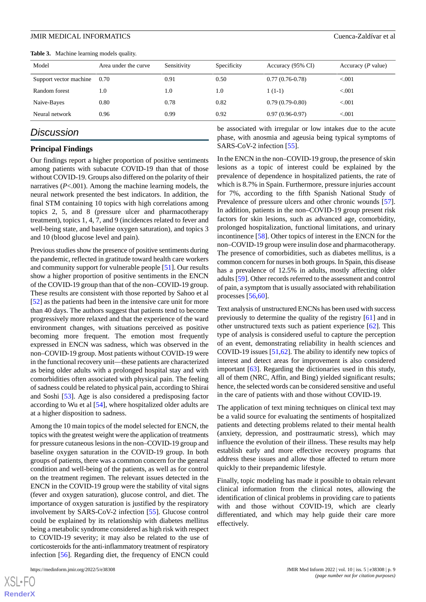<span id="page-8-0"></span>

|  | Table 3. Machine learning models quality. |  |  |  |
|--|-------------------------------------------|--|--|--|
|--|-------------------------------------------|--|--|--|

| Model                  | Area under the curve | Sensitivity | Specificity | Accuracy (95% CI) | Accuracy $(P$ value) |
|------------------------|----------------------|-------------|-------------|-------------------|----------------------|
| Support vector machine | 0.70                 | 0.91        | 0.50        | $0.77(0.76-0.78)$ | < 0.001              |
| Random forest          | 1.0                  | 1.0         | 1.0         | $1(1-1)$          | < 0.001              |
| Naive-Bayes            | 0.80                 | 0.78        | 0.82        | $0.79(0.79-0.80)$ | < 0.001              |
| Neural network         | 0.96                 | 0.99        | 0.92        | $0.97(0.96-0.97)$ | < 0.001              |

### *Discussion*

#### **Principal Findings**

Our findings report a higher proportion of positive sentiments among patients with subacute COVID-19 than that of those without COVID-19. Groups also differed on the polarity of their narratives (*P*<.001). Among the machine learning models, the neural network presented the best indicators. In addition, the final STM containing 10 topics with high correlations among topics 2, 5, and 8 (pressure ulcer and pharmacotherapy treatment), topics 1, 4, 7, and 9 (incidences related to fever and well-being state, and baseline oxygen saturation), and topics 3 and 10 (blood glucose level and pain).

Previous studies show the presence of positive sentiments during the pandemic, reflected in gratitude toward health care workers and community support for vulnerable people [[51\]](#page-11-21). Our results show a higher proportion of positive sentiments in the ENCN of the COVID-19 group than that of the non–COVID-19 group. These results are consistent with those reported by Sahoo et al [[52\]](#page-11-22) as the patients had been in the intensive care unit for more than 40 days. The authors suggest that patients tend to become progressively more relaxed and that the experience of the ward environment changes, with situations perceived as positive becoming more frequent. The emotion most frequently expressed in ENCN was sadness, which was observed in the non–COVID-19 group. Most patients without COVID-19 were in the functional recovery unit—these patients are characterized as being older adults with a prolonged hospital stay and with comorbidities often associated with physical pain. The feeling of sadness could be related to physical pain, according to Shirai and Soshi [[53\]](#page-11-23). Age is also considered a predisposing factor according to Wu et al [[54\]](#page-11-24), where hospitalized older adults are at a higher disposition to sadness.

Among the 10 main topics of the model selected for ENCN, the topics with the greatest weight were the application of treatments for pressure cutaneous lesions in the non–COVID-19 group and baseline oxygen saturation in the COVID-19 group. In both groups of patients, there was a common concern for the general condition and well-being of the patients, as well as for control on the treatment regimen. The relevant issues detected in the ENCN in the COVID-19 group were the stability of vital signs (fever and oxygen saturation), glucose control, and diet. The importance of oxygen saturation is justified by the respiratory involvement by SARS-CoV-2 infection [\[55](#page-11-25)]. Glucose control could be explained by its relationship with diabetes mellitus being a metabolic syndrome considered as high risk with respect to COVID-19 severity; it may also be related to the use of corticosteroids for the anti-inflammatory treatment of respiratory infection [[56\]](#page-11-26). Regarding diet, the frequency of ENCN could

be associated with irregular or low intakes due to the acute phase, with anosmia and ageusia being typical symptoms of SARS-CoV-2 infection [\[55](#page-11-25)].

In the ENCN in the non–COVID-19 group, the presence of skin lesions as a topic of interest could be explained by the prevalence of dependence in hospitalized patients, the rate of which is 8.7% in Spain. Furthermore, pressure injuries account for 7%, according to the fifth Spanish National Study of Prevalence of pressure ulcers and other chronic wounds [[57\]](#page-12-0). In addition, patients in the non–COVID-19 group present risk factors for skin lesions, such as advanced age, comorbidity, prolonged hospitalization, functional limitations, and urinary incontinence [\[58](#page-12-1)]. Other topics of interest in the ENCN for the non–COVID-19 group were insulin dose and pharmacotherapy. The presence of comorbidities, such as diabetes mellitus, is a common concern for nurses in both groups. In Spain, this disease has a prevalence of 12.5% in adults, mostly affecting older adults [\[59](#page-12-2)]. Other records referred to the assessment and control of pain, a symptom that is usually associated with rehabilitation processes [[56](#page-11-26)[,60](#page-12-3)].

Text analysis of unstructured ENCNs has been used with success previously to determine the quality of the registry [\[61](#page-12-4)] and in other unstructured texts such as patient experience [[62\]](#page-12-5). This type of analysis is considered useful to capture the perception of an event, demonstrating reliability in health sciences and COVID-19 issues  $[51,62]$  $[51,62]$  $[51,62]$  $[51,62]$ . The ability to identify new topics of interest and detect areas for improvement is also considered important [\[63](#page-12-6)]. Regarding the dictionaries used in this study, all of them (NRC, Affin, and Bing) yielded significant results; hence, the selected words can be considered sensitive and useful in the care of patients with and those without COVID-19.

The application of text mining techniques on clinical text may be a valid source for evaluating the sentiments of hospitalized patients and detecting problems related to their mental health (anxiety, depression, and posttraumatic stress), which may influence the evolution of their illness. These results may help establish early and more effective recovery programs that address these issues and allow those affected to return more quickly to their prepandemic lifestyle.

Finally, topic modeling has made it possible to obtain relevant clinical information from the clinical notes, allowing the identification of clinical problems in providing care to patients with and those without COVID-19, which are clearly differentiated, and which may help guide their care more effectively.

 $XS$ -FO **[RenderX](http://www.renderx.com/)**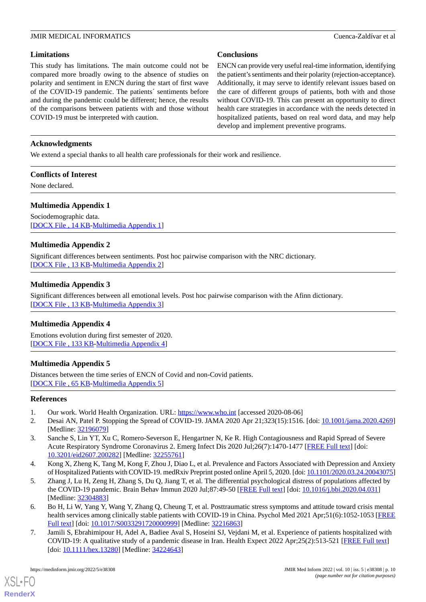#### **Limitations**

This study has limitations. The main outcome could not be compared more broadly owing to the absence of studies on polarity and sentiment in ENCN during the start of first wave of the COVID-19 pandemic. The patients´ sentiments before and during the pandemic could be different; hence, the results of the comparisons between patients with and those without COVID-19 must be interpreted with caution.

#### **Conclusions**

ENCN can provide very useful real-time information, identifying the patient's sentiments and their polarity (rejection-acceptance). Additionally, it may serve to identify relevant issues based on the care of different groups of patients, both with and those without COVID-19. This can present an opportunity to direct health care strategies in accordance with the needs detected in hospitalized patients, based on real word data, and may help develop and implement preventive programs.

#### **Acknowledgments**

We extend a special thanks to all health care professionals for their work and resilience.

#### **Conflicts of Interest**

<span id="page-9-7"></span>None declared.

#### **Multimedia Appendix 1**

<span id="page-9-8"></span>Sociodemographic data. [[DOCX File , 14 KB](https://jmir.org/api/download?alt_name=medinform_v10i5e38308_app1.docx&filename=421004a2fccc0f15d9cd5008ccca2630.docx)-[Multimedia Appendix 1\]](https://jmir.org/api/download?alt_name=medinform_v10i5e38308_app1.docx&filename=421004a2fccc0f15d9cd5008ccca2630.docx)

#### **Multimedia Appendix 2**

<span id="page-9-9"></span>Significant differences between sentiments. Post hoc pairwise comparison with the NRC dictionary. [[DOCX File , 13 KB](https://jmir.org/api/download?alt_name=medinform_v10i5e38308_app2.docx&filename=7a226cb510836252d987d7e3c6391bad.docx)-[Multimedia Appendix 2\]](https://jmir.org/api/download?alt_name=medinform_v10i5e38308_app2.docx&filename=7a226cb510836252d987d7e3c6391bad.docx)

#### **Multimedia Appendix 3**

<span id="page-9-10"></span>Significant differences between all emotional levels. Post hoc pairwise comparison with the Afinn dictionary. [[DOCX File , 13 KB](https://jmir.org/api/download?alt_name=medinform_v10i5e38308_app3.docx&filename=b110c6d37a58c416b5be7e2e956ebdf4.docx)-[Multimedia Appendix 3\]](https://jmir.org/api/download?alt_name=medinform_v10i5e38308_app3.docx&filename=b110c6d37a58c416b5be7e2e956ebdf4.docx)

#### <span id="page-9-11"></span>**Multimedia Appendix 4**

Emotions evolution during first semester of 2020. [[DOCX File , 133 KB-Multimedia Appendix 4\]](https://jmir.org/api/download?alt_name=medinform_v10i5e38308_app4.docx&filename=37c907dce3fdbec9d590cbb041187db6.docx)

#### **Multimedia Appendix 5**

<span id="page-9-1"></span><span id="page-9-0"></span>Distances between the time series of ENCN of Covid and non-Covid patients. [[DOCX File , 65 KB](https://jmir.org/api/download?alt_name=medinform_v10i5e38308_app5.docx&filename=7e3a393ab9e3026b3465a6eec4a9e906.docx)-[Multimedia Appendix 5\]](https://jmir.org/api/download?alt_name=medinform_v10i5e38308_app5.docx&filename=7e3a393ab9e3026b3465a6eec4a9e906.docx)

#### <span id="page-9-2"></span>**References**

- 1. Our work. World Health Organization. URL: <https://www.who.int> [accessed 2020-08-06]
- <span id="page-9-3"></span>2. Desai AN, Patel P. Stopping the Spread of COVID-19. JAMA 2020 Apr 21;323(15):1516. [doi: [10.1001/jama.2020.4269](http://dx.doi.org/10.1001/jama.2020.4269)] [Medline: [32196079](http://www.ncbi.nlm.nih.gov/entrez/query.fcgi?cmd=Retrieve&db=PubMed&list_uids=32196079&dopt=Abstract)]
- <span id="page-9-4"></span>3. Sanche S, Lin YT, Xu C, Romero-Severson E, Hengartner N, Ke R. High Contagiousness and Rapid Spread of Severe Acute Respiratory Syndrome Coronavirus 2. Emerg Infect Dis 2020 Jul;26(7):1470-1477 [\[FREE Full text\]](https://doi.org/10.3201/eid2607.200282) [doi: [10.3201/eid2607.200282](http://dx.doi.org/10.3201/eid2607.200282)] [Medline: [32255761](http://www.ncbi.nlm.nih.gov/entrez/query.fcgi?cmd=Retrieve&db=PubMed&list_uids=32255761&dopt=Abstract)]
- <span id="page-9-5"></span>4. Kong X, Zheng K, Tang M, Kong F, Zhou J, Diao L, et al. Prevalence and Factors Associated with Depression and Anxiety of Hospitalized Patients with COVID-19. medRxiv Preprint posted online April 5, 2020. [doi: [10.1101/2020.03.24.20043075\]](http://dx.doi.org/10.1101/2020.03.24.20043075)
- <span id="page-9-6"></span>5. Zhang J, Lu H, Zeng H, Zhang S, Du Q, Jiang T, et al. The differential psychological distress of populations affected by the COVID-19 pandemic. Brain Behav Immun 2020 Jul;87:49-50 [[FREE Full text](http://europepmc.org/abstract/MED/32304883)] [doi: [10.1016/j.bbi.2020.04.031](http://dx.doi.org/10.1016/j.bbi.2020.04.031)] [Medline: [32304883](http://www.ncbi.nlm.nih.gov/entrez/query.fcgi?cmd=Retrieve&db=PubMed&list_uids=32304883&dopt=Abstract)]
- 6. Bo H, Li W, Yang Y, Wang Y, Zhang Q, Cheung T, et al. Posttraumatic stress symptoms and attitude toward crisis mental health services among clinically stable patients with COVID-19 in China. Psychol Med 2021 Apr;51(6):1052-1053 [\[FREE](http://europepmc.org/abstract/MED/32216863) [Full text\]](http://europepmc.org/abstract/MED/32216863) [doi: [10.1017/S0033291720000999](http://dx.doi.org/10.1017/S0033291720000999)] [Medline: [32216863\]](http://www.ncbi.nlm.nih.gov/entrez/query.fcgi?cmd=Retrieve&db=PubMed&list_uids=32216863&dopt=Abstract)
- 7. Jamili S, Ebrahimipour H, Adel A, Badiee Aval S, Hoseini SJ, Vejdani M, et al. Experience of patients hospitalized with COVID-19: A qualitative study of a pandemic disease in Iran. Health Expect 2022 Apr;25(2):513-521 [\[FREE Full text\]](https://doi.org/10.1111/hex.13280) [doi: [10.1111/hex.13280\]](http://dx.doi.org/10.1111/hex.13280) [Medline: [34224643\]](http://www.ncbi.nlm.nih.gov/entrez/query.fcgi?cmd=Retrieve&db=PubMed&list_uids=34224643&dopt=Abstract)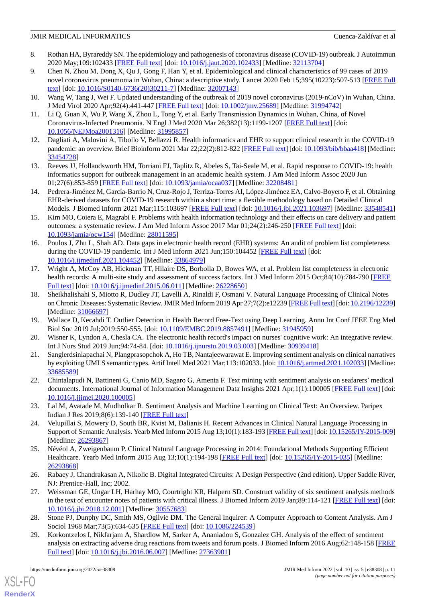- <span id="page-10-0"></span>8. Rothan HA, Byrareddy SN. The epidemiology and pathogenesis of coronavirus disease (COVID-19) outbreak. J Autoimmun 2020 May;109:102433 [[FREE Full text](http://europepmc.org/abstract/MED/32113704)] [doi: [10.1016/j.jaut.2020.102433\]](http://dx.doi.org/10.1016/j.jaut.2020.102433) [Medline: [32113704\]](http://www.ncbi.nlm.nih.gov/entrez/query.fcgi?cmd=Retrieve&db=PubMed&list_uids=32113704&dopt=Abstract)
- <span id="page-10-1"></span>9. Chen N, Zhou M, Dong X, Qu J, Gong F, Han Y, et al. Epidemiological and clinical characteristics of 99 cases of 2019 novel coronavirus pneumonia in Wuhan, China: a descriptive study. Lancet 2020 Feb 15;395(10223):507-513 [[FREE Full](http://europepmc.org/abstract/MED/32007143) [text](http://europepmc.org/abstract/MED/32007143)] [doi: [10.1016/S0140-6736\(20\)30211-7\]](http://dx.doi.org/10.1016/S0140-6736(20)30211-7) [Medline: [32007143](http://www.ncbi.nlm.nih.gov/entrez/query.fcgi?cmd=Retrieve&db=PubMed&list_uids=32007143&dopt=Abstract)]
- <span id="page-10-3"></span><span id="page-10-2"></span>10. Wang W, Tang J, Wei F. Updated understanding of the outbreak of 2019 novel coronavirus (2019-nCoV) in Wuhan, China. J Med Virol 2020 Apr;92(4):441-447 [\[FREE Full text\]](http://europepmc.org/abstract/MED/31994742) [doi: [10.1002/jmv.25689](http://dx.doi.org/10.1002/jmv.25689)] [Medline: [31994742](http://www.ncbi.nlm.nih.gov/entrez/query.fcgi?cmd=Retrieve&db=PubMed&list_uids=31994742&dopt=Abstract)]
- <span id="page-10-4"></span>11. Li Q, Guan X, Wu P, Wang X, Zhou L, Tong Y, et al. Early Transmission Dynamics in Wuhan, China, of Novel Coronavirus-Infected Pneumonia. N Engl J Med 2020 Mar 26;382(13):1199-1207 [[FREE Full text](http://europepmc.org/abstract/MED/31995857)] [doi: [10.1056/NEJMoa2001316](http://dx.doi.org/10.1056/NEJMoa2001316)] [Medline: [31995857](http://www.ncbi.nlm.nih.gov/entrez/query.fcgi?cmd=Retrieve&db=PubMed&list_uids=31995857&dopt=Abstract)]
- <span id="page-10-5"></span>12. Dagliati A, Malovini A, Tibollo V, Bellazzi R. Health informatics and EHR to support clinical research in the COVID-19 pandemic: an overview. Brief Bioinform 2021 Mar 22;22(2):812-822 [[FREE Full text](http://europepmc.org/abstract/MED/33454728)] [doi: [10.1093/bib/bbaa418\]](http://dx.doi.org/10.1093/bib/bbaa418) [Medline: [33454728](http://www.ncbi.nlm.nih.gov/entrez/query.fcgi?cmd=Retrieve&db=PubMed&list_uids=33454728&dopt=Abstract)]
- <span id="page-10-6"></span>13. Reeves JJ, Hollandsworth HM, Torriani FJ, Taplitz R, Abeles S, Tai-Seale M, et al. Rapid response to COVID-19: health informatics support for outbreak management in an academic health system. J Am Med Inform Assoc 2020 Jun 01;27(6):853-859 [[FREE Full text](http://europepmc.org/abstract/MED/32208481)] [doi: [10.1093/jamia/ocaa037](http://dx.doi.org/10.1093/jamia/ocaa037)] [Medline: [32208481\]](http://www.ncbi.nlm.nih.gov/entrez/query.fcgi?cmd=Retrieve&db=PubMed&list_uids=32208481&dopt=Abstract)
- <span id="page-10-7"></span>14. Pedrera-Jiménez M, García-Barrio N, Cruz-Rojo J, Terriza-Torres AI, López-Jiménez EA, Calvo-Boyero F, et al. Obtaining EHR-derived datasets for COVID-19 research within a short time: a flexible methodology based on Detailed Clinical Models. J Biomed Inform 2021 Mar;115:103697 [[FREE Full text](https://linkinghub.elsevier.com/retrieve/pii/S1532-0464(21)00026-5)] [doi: [10.1016/j.jbi.2021.103697\]](http://dx.doi.org/10.1016/j.jbi.2021.103697) [Medline: [33548541](http://www.ncbi.nlm.nih.gov/entrez/query.fcgi?cmd=Retrieve&db=PubMed&list_uids=33548541&dopt=Abstract)]
- <span id="page-10-8"></span>15. Kim MO, Coiera E, Magrabi F. Problems with health information technology and their effects on care delivery and patient outcomes: a systematic review. J Am Med Inform Assoc 2017 Mar 01;24(2):246-250 [[FREE Full text](http://europepmc.org/abstract/MED/28011595)] [doi: [10.1093/jamia/ocw154](http://dx.doi.org/10.1093/jamia/ocw154)] [Medline: [28011595](http://www.ncbi.nlm.nih.gov/entrez/query.fcgi?cmd=Retrieve&db=PubMed&list_uids=28011595&dopt=Abstract)]
- <span id="page-10-9"></span>16. Poulos J, Zhu L, Shah AD. Data gaps in electronic health record (EHR) systems: An audit of problem list completeness during the COVID-19 pandemic. Int J Med Inform 2021 Jun;150:104452 [[FREE Full text](https://linkinghub.elsevier.com/retrieve/pii/S1386-5056(21)00078-2)] [doi: [10.1016/j.ijmedinf.2021.104452\]](http://dx.doi.org/10.1016/j.ijmedinf.2021.104452) [Medline: [33864979\]](http://www.ncbi.nlm.nih.gov/entrez/query.fcgi?cmd=Retrieve&db=PubMed&list_uids=33864979&dopt=Abstract)
- <span id="page-10-10"></span>17. Wright A, McCoy AB, Hickman TT, Hilaire DS, Borbolla D, Bowes WA, et al. Problem list completeness in electronic health records: A multi-site study and assessment of success factors. Int J Med Inform 2015 Oct;84(10):784-790 [[FREE](http://europepmc.org/abstract/MED/26228650) [Full text\]](http://europepmc.org/abstract/MED/26228650) [doi: [10.1016/j.ijmedinf.2015.06.011](http://dx.doi.org/10.1016/j.ijmedinf.2015.06.011)] [Medline: [26228650\]](http://www.ncbi.nlm.nih.gov/entrez/query.fcgi?cmd=Retrieve&db=PubMed&list_uids=26228650&dopt=Abstract)
- <span id="page-10-12"></span><span id="page-10-11"></span>18. Sheikhalishahi S, Miotto R, Dudley JT, Lavelli A, Rinaldi F, Osmani V. Natural Language Processing of Clinical Notes on Chronic Diseases: Systematic Review. JMIR Med Inform 2019 Apr 27;7(2):e12239 [[FREE Full text\]](https://medinform.jmir.org/2019/2/e12239/) [doi: [10.2196/12239](http://dx.doi.org/10.2196/12239)] [Medline: [31066697](http://www.ncbi.nlm.nih.gov/entrez/query.fcgi?cmd=Retrieve&db=PubMed&list_uids=31066697&dopt=Abstract)]
- <span id="page-10-13"></span>19. Wallace D, Kecahdi T. Outlier Detection in Health Record Free-Text using Deep Learning. Annu Int Conf IEEE Eng Med Biol Soc 2019 Jul;2019:550-555. [doi: [10.1109/EMBC.2019.8857491\]](http://dx.doi.org/10.1109/EMBC.2019.8857491) [Medline: [31945959\]](http://www.ncbi.nlm.nih.gov/entrez/query.fcgi?cmd=Retrieve&db=PubMed&list_uids=31945959&dopt=Abstract)
- <span id="page-10-14"></span>20. Wisner K, Lyndon A, Chesla CA. The electronic health record's impact on nurses' cognitive work: An integrative review. Int J Nurs Stud 2019 Jun;94:74-84. [doi: [10.1016/j.ijnurstu.2019.03.003\]](http://dx.doi.org/10.1016/j.ijnurstu.2019.03.003) [Medline: [30939418](http://www.ncbi.nlm.nih.gov/entrez/query.fcgi?cmd=Retrieve&db=PubMed&list_uids=30939418&dopt=Abstract)]
- <span id="page-10-15"></span>21. Sanglerdsinlapachai N, Plangprasopchok A, Ho TB, Nantajeewarawat E. Improving sentiment analysis on clinical narratives by exploiting UMLS semantic types. Artif Intell Med 2021 Mar;113:102033. [doi: [10.1016/j.artmed.2021.102033\]](http://dx.doi.org/10.1016/j.artmed.2021.102033) [Medline: [33685589](http://www.ncbi.nlm.nih.gov/entrez/query.fcgi?cmd=Retrieve&db=PubMed&list_uids=33685589&dopt=Abstract)]
- <span id="page-10-16"></span>22. Chintalapudi N, Battineni G, Canio MD, Sagaro G, Amenta F. Text mining with sentiment analysis on seafarers' medical documents. International Journal of Information Management Data Insights 2021 Apr;1(1):100005 [[FREE Full text](https://doi.org/10.1016/j.jjimei.2020.100005)] [doi: [10.1016/j.jjimei.2020.100005](http://dx.doi.org/10.1016/j.jjimei.2020.100005)]
- <span id="page-10-17"></span>23. Lal M, Avatade M, Mudholkar R. Sentiment Analysis and Machine Learning on Clinical Text: An Overview. Paripex Indian J Res 2019;8(6):139-140 [[FREE Full text](https://www.worldwidejournals.com/paripex/fileview/June_2019_1559911171_2912629.pdf)]
- <span id="page-10-18"></span>24. Velupillai S, Mowery D, South BR, Kvist M, Dalianis H. Recent Advances in Clinical Natural Language Processing in Support of Semantic Analysis. Yearb Med Inform 2015 Aug 13;10(1):183-193 [[FREE Full text](http://www.thieme-connect.com/DOI/DOI?10.15265/IY-2015-009)] [doi: [10.15265/IY-2015-009\]](http://dx.doi.org/10.15265/IY-2015-009) [Medline: [26293867](http://www.ncbi.nlm.nih.gov/entrez/query.fcgi?cmd=Retrieve&db=PubMed&list_uids=26293867&dopt=Abstract)]
- <span id="page-10-19"></span>25. Névéol A, Zweigenbaum P. Clinical Natural Language Processing in 2014: Foundational Methods Supporting Efficient Healthcare. Yearb Med Inform 2015 Aug 13;10(1):194-198 [\[FREE Full text\]](http://www.thieme-connect.com/DOI/DOI?10.15265/IY-2015-035) [doi: [10.15265/IY-2015-035\]](http://dx.doi.org/10.15265/IY-2015-035) [Medline: [26293868](http://www.ncbi.nlm.nih.gov/entrez/query.fcgi?cmd=Retrieve&db=PubMed&list_uids=26293868&dopt=Abstract)]
- <span id="page-10-21"></span><span id="page-10-20"></span>26. Rabaey J, Chandrakasan A, Nikolic B. Digital Integrated Circuits: A Design Perspective (2nd edition). Upper Saddle River, NJ: Prentice-Hall, Inc; 2002.
- 27. Weissman GE, Ungar LH, Harhay MO, Courtright KR, Halpern SD. Construct validity of six sentiment analysis methods in the text of encounter notes of patients with critical illness. J Biomed Inform 2019 Jan;89:114-121 [\[FREE Full text](https://linkinghub.elsevier.com/retrieve/pii/S1532-0464(18)30228-4)] [doi: [10.1016/j.jbi.2018.12.001](http://dx.doi.org/10.1016/j.jbi.2018.12.001)] [Medline: [30557683\]](http://www.ncbi.nlm.nih.gov/entrez/query.fcgi?cmd=Retrieve&db=PubMed&list_uids=30557683&dopt=Abstract)
- 28. Stone PJ, Dunphy DC, Smith MS, Ogilvie DM. The General Inquirer: A Computer Approach to Content Analysis. Am J Sociol 1968 Mar; 73(5): 634-635 [\[FREE Full text](https://doi.org/10.3102/00028312004004397)] [doi: [10.1086/224539](http://dx.doi.org/10.1086/224539)]
- 29. Korkontzelos I, Nikfarjam A, Shardlow M, Sarker A, Ananiadou S, Gonzalez GH. Analysis of the effect of sentiment analysis on extracting adverse drug reactions from tweets and forum posts. J Biomed Inform 2016 Aug;62:148-158 [\[FREE](https://linkinghub.elsevier.com/retrieve/pii/S1532-0464(16)30050-8) [Full text\]](https://linkinghub.elsevier.com/retrieve/pii/S1532-0464(16)30050-8) [doi: [10.1016/j.jbi.2016.06.007\]](http://dx.doi.org/10.1016/j.jbi.2016.06.007) [Medline: [27363901\]](http://www.ncbi.nlm.nih.gov/entrez/query.fcgi?cmd=Retrieve&db=PubMed&list_uids=27363901&dopt=Abstract)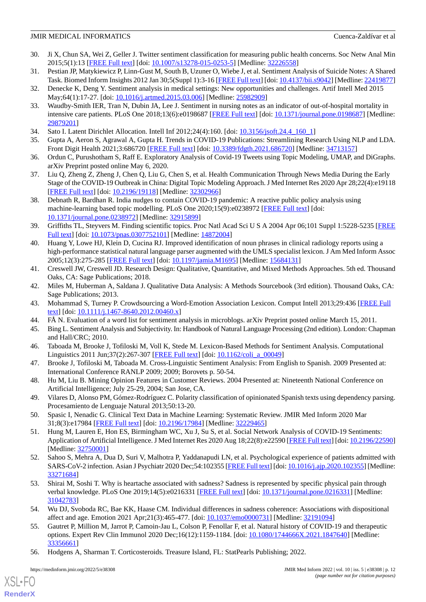- <span id="page-11-0"></span>30. Ji X, Chun SA, Wei Z, Geller J. Twitter sentiment classification for measuring public health concerns. Soc Netw Anal Min 2015;5(1):13 [[FREE Full text\]](http://europepmc.org/abstract/MED/32226558) [doi: [10.1007/s13278-015-0253-5](http://dx.doi.org/10.1007/s13278-015-0253-5)] [Medline: [32226558](http://www.ncbi.nlm.nih.gov/entrez/query.fcgi?cmd=Retrieve&db=PubMed&list_uids=32226558&dopt=Abstract)]
- <span id="page-11-1"></span>31. Pestian JP, Matykiewicz P, Linn-Gust M, South B, Uzuner O, Wiebe J, et al. Sentiment Analysis of Suicide Notes: A Shared Task. Biomed Inform Insights 2012 Jan 30;5(Suppl 1):3-16 [\[FREE Full text](https://journals.sagepub.com/doi/10.4137/bii.s9042?url_ver=Z39.88-2003&rfr_id=ori:rid:crossref.org&rfr_dat=cr_pub%3dpubmed)] [doi: [10.4137/bii.s9042\]](http://dx.doi.org/10.4137/bii.s9042) [Medline: [22419877](http://www.ncbi.nlm.nih.gov/entrez/query.fcgi?cmd=Retrieve&db=PubMed&list_uids=22419877&dopt=Abstract)]
- <span id="page-11-3"></span><span id="page-11-2"></span>32. Denecke K, Deng Y. Sentiment analysis in medical settings: New opportunities and challenges. Artif Intell Med 2015 May;64(1):17-27. [doi: [10.1016/j.artmed.2015.03.006\]](http://dx.doi.org/10.1016/j.artmed.2015.03.006) [Medline: [25982909](http://www.ncbi.nlm.nih.gov/entrez/query.fcgi?cmd=Retrieve&db=PubMed&list_uids=25982909&dopt=Abstract)]
- 33. Waudby-Smith IER, Tran N, Dubin JA, Lee J. Sentiment in nursing notes as an indicator of out-of-hospital mortality in intensive care patients. PLoS One 2018;13(6):e0198687 [\[FREE Full text\]](https://dx.plos.org/10.1371/journal.pone.0198687) [doi: [10.1371/journal.pone.0198687](http://dx.doi.org/10.1371/journal.pone.0198687)] [Medline: [29879201](http://www.ncbi.nlm.nih.gov/entrez/query.fcgi?cmd=Retrieve&db=PubMed&list_uids=29879201&dopt=Abstract)]
- <span id="page-11-5"></span><span id="page-11-4"></span>34. Sato I. Latent Dirichlet Allocation. Intell Inf 2012;24(4):160. [doi: [10.3156/jsoft.24.4\\_160\\_1\]](http://dx.doi.org/10.3156/jsoft.24.4_160_1)
- <span id="page-11-6"></span>35. Gupta A, Aeron S, Agrawal A, Gupta H. Trends in COVID-19 Publications: Streamlining Research Using NLP and LDA. Front Digit Health 2021;3:686720 [\[FREE Full text\]](http://europepmc.org/abstract/MED/34713157) [doi: [10.3389/fdgth.2021.686720](http://dx.doi.org/10.3389/fdgth.2021.686720)] [Medline: [34713157](http://www.ncbi.nlm.nih.gov/entrez/query.fcgi?cmd=Retrieve&db=PubMed&list_uids=34713157&dopt=Abstract)]
- <span id="page-11-7"></span>36. Ordun C, Purushotham S, Raff E. Exploratory Analysis of Covid-19 Tweets using Topic Modeling, UMAP, and DiGraphs. arXiv Preprint posted online May 6, 2020.
- <span id="page-11-8"></span>37. Liu Q, Zheng Z, Zheng J, Chen Q, Liu G, Chen S, et al. Health Communication Through News Media During the Early Stage of the COVID-19 Outbreak in China: Digital Topic Modeling Approach. J Med Internet Res 2020 Apr 28;22(4):e19118 [[FREE Full text](https://www.jmir.org/2020/4/e19118/)] [doi: [10.2196/19118\]](http://dx.doi.org/10.2196/19118) [Medline: [32302966\]](http://www.ncbi.nlm.nih.gov/entrez/query.fcgi?cmd=Retrieve&db=PubMed&list_uids=32302966&dopt=Abstract)
- <span id="page-11-9"></span>38. Debnath R, Bardhan R. India nudges to contain COVID-19 pandemic: A reactive public policy analysis using machine-learning based topic modelling. PLoS One 2020;15(9):e0238972 [[FREE Full text](https://dx.plos.org/10.1371/journal.pone.0238972)] [doi: [10.1371/journal.pone.0238972\]](http://dx.doi.org/10.1371/journal.pone.0238972) [Medline: [32915899](http://www.ncbi.nlm.nih.gov/entrez/query.fcgi?cmd=Retrieve&db=PubMed&list_uids=32915899&dopt=Abstract)]
- <span id="page-11-10"></span>39. Griffiths TL, Steyvers M. Finding scientific topics. Proc Natl Acad Sci U S A 2004 Apr 06;101 Suppl 1:5228-5235 [\[FREE](http://europepmc.org/abstract/MED/14872004) [Full text\]](http://europepmc.org/abstract/MED/14872004) [doi: [10.1073/pnas.0307752101](http://dx.doi.org/10.1073/pnas.0307752101)] [Medline: [14872004](http://www.ncbi.nlm.nih.gov/entrez/query.fcgi?cmd=Retrieve&db=PubMed&list_uids=14872004&dopt=Abstract)]
- <span id="page-11-11"></span>40. Huang Y, Lowe HJ, Klein D, Cucina RJ. Improved identification of noun phrases in clinical radiology reports using a high-performance statistical natural language parser augmented with the UMLS specialist lexicon. J Am Med Inform Assoc 2005;12(3):275-285 [[FREE Full text](http://europepmc.org/abstract/MED/15684131)] [doi: [10.1197/jamia.M1695](http://dx.doi.org/10.1197/jamia.M1695)] [Medline: [15684131](http://www.ncbi.nlm.nih.gov/entrez/query.fcgi?cmd=Retrieve&db=PubMed&list_uids=15684131&dopt=Abstract)]
- <span id="page-11-13"></span><span id="page-11-12"></span>41. Creswell JW, Creswell JD. Research Design: Qualitative, Quantitative, and Mixed Methods Approaches. 5th ed. Thousand Oaks, CA: Sage Publications; 2018.
- <span id="page-11-14"></span>42. Miles M, Huberman A, Saldana J. Qualitative Data Analysis: A Methods Sourcebook (3rd edition). Thousand Oaks, CA: Sage Publications; 2013.
- <span id="page-11-16"></span><span id="page-11-15"></span>43. Mohammad S, Turney P. Crowdsourcing a Word-Emotion Association Lexicon. Comput Intell 2013;29:436 [\[FREE Full](https://doi.org/10.1111/j.1467-8640.2012.00460.x) [text](https://doi.org/10.1111/j.1467-8640.2012.00460.x)] [doi: [10.1111/j.1467-8640.2012.00460.x\]](http://dx.doi.org/10.1111/j.1467-8640.2012.00460.x)
- 44. FÅ N. Evaluation of a word list for sentiment analysis in microblogs. arXiv Preprint posted online March 15, 2011.
- <span id="page-11-19"></span>45. Bing L. Sentiment Analysis and Subjectivity. In: Handbook of Natural Language Processing (2nd edition). London: Chapman and Hall/CRC; 2010.
- <span id="page-11-17"></span>46. Taboada M, Brooke J, Tofiloski M, Voll K, Stede M. Lexicon-Based Methods for Sentiment Analysis. Computational Linguistics 2011 Jun;37(2):267-307 [\[FREE Full text\]](https://doi.org/10.1162/COLI_a_00049) [doi: [10.1162/coli\\_a\\_00049\]](http://dx.doi.org/10.1162/coli_a_00049)
- <span id="page-11-18"></span>47. Brooke J, Tofiloski M, Taboada M. Cross-Linguistic Sentiment Analysis: From English to Spanish. 2009 Presented at: International Conference RANLP 2009; 2009; Borovets p. 50-54.
- <span id="page-11-20"></span>48. Hu M, Liu B. Mining Opinion Features in Customer Reviews. 2004 Presented at: Nineteenth National Conference on Artificial Intelligence; July 25-29, 2004; San Jose, CA.
- <span id="page-11-21"></span>49. Vilares D, Alonso PM, Gómez-Rodríguez C. Polarity classification of opinionated Spanish texts using dependency parsing. Procesamiento de Lenguaje Natural 2013;50:13-20.
- <span id="page-11-22"></span>50. Spasic I, Nenadic G. Clinical Text Data in Machine Learning: Systematic Review. JMIR Med Inform 2020 Mar 31;8(3):e17984 [\[FREE Full text](https://medinform.jmir.org/2020/3/e17984/)] [doi: [10.2196/17984\]](http://dx.doi.org/10.2196/17984) [Medline: [32229465\]](http://www.ncbi.nlm.nih.gov/entrez/query.fcgi?cmd=Retrieve&db=PubMed&list_uids=32229465&dopt=Abstract)
- <span id="page-11-23"></span>51. Hung M, Lauren E, Hon ES, Birmingham WC, Xu J, Su S, et al. Social Network Analysis of COVID-19 Sentiments: Application of Artificial Intelligence. J Med Internet Res 2020 Aug 18;22(8):e22590 [\[FREE Full text](https://www.jmir.org/2020/8/e22590/)] [doi: [10.2196/22590](http://dx.doi.org/10.2196/22590)] [Medline: [32750001](http://www.ncbi.nlm.nih.gov/entrez/query.fcgi?cmd=Retrieve&db=PubMed&list_uids=32750001&dopt=Abstract)]
- <span id="page-11-24"></span>52. Sahoo S, Mehra A, Dua D, Suri V, Malhotra P, Yaddanapudi LN, et al. Psychological experience of patients admitted with SARS-CoV-2 infection. Asian J Psychiatr 2020 Dec;54:102355 [\[FREE Full text\]](http://europepmc.org/abstract/MED/33271684) [doi: [10.1016/j.ajp.2020.102355\]](http://dx.doi.org/10.1016/j.ajp.2020.102355) [Medline: [33271684](http://www.ncbi.nlm.nih.gov/entrez/query.fcgi?cmd=Retrieve&db=PubMed&list_uids=33271684&dopt=Abstract)]
- <span id="page-11-25"></span>53. Shirai M, Soshi T. Why is heartache associated with sadness? Sadness is represented by specific physical pain through verbal knowledge. PLoS One 2019;14(5):e0216331 [[FREE Full text](https://dx.plos.org/10.1371/journal.pone.0216331)] [doi: [10.1371/journal.pone.0216331\]](http://dx.doi.org/10.1371/journal.pone.0216331) [Medline: [31042783](http://www.ncbi.nlm.nih.gov/entrez/query.fcgi?cmd=Retrieve&db=PubMed&list_uids=31042783&dopt=Abstract)]
- <span id="page-11-26"></span>54. Wu DJ, Svoboda RC, Bae KK, Haase CM. Individual differences in sadness coherence: Associations with dispositional affect and age. Emotion 2021 Apr;21(3):465-477. [doi: [10.1037/emo0000731\]](http://dx.doi.org/10.1037/emo0000731) [Medline: [32191094\]](http://www.ncbi.nlm.nih.gov/entrez/query.fcgi?cmd=Retrieve&db=PubMed&list_uids=32191094&dopt=Abstract)
- 55. Gautret P, Million M, Jarrot P, Camoin-Jau L, Colson P, Fenollar F, et al. Natural history of COVID-19 and therapeutic options. Expert Rev Clin Immunol 2020 Dec;16(12):1159-1184. [doi: [10.1080/1744666X.2021.1847640](http://dx.doi.org/10.1080/1744666X.2021.1847640)] [Medline: [33356661](http://www.ncbi.nlm.nih.gov/entrez/query.fcgi?cmd=Retrieve&db=PubMed&list_uids=33356661&dopt=Abstract)]
- 56. Hodgens A, Sharman T. Corticosteroids. Treasure Island, FL: StatPearls Publishing; 2022.